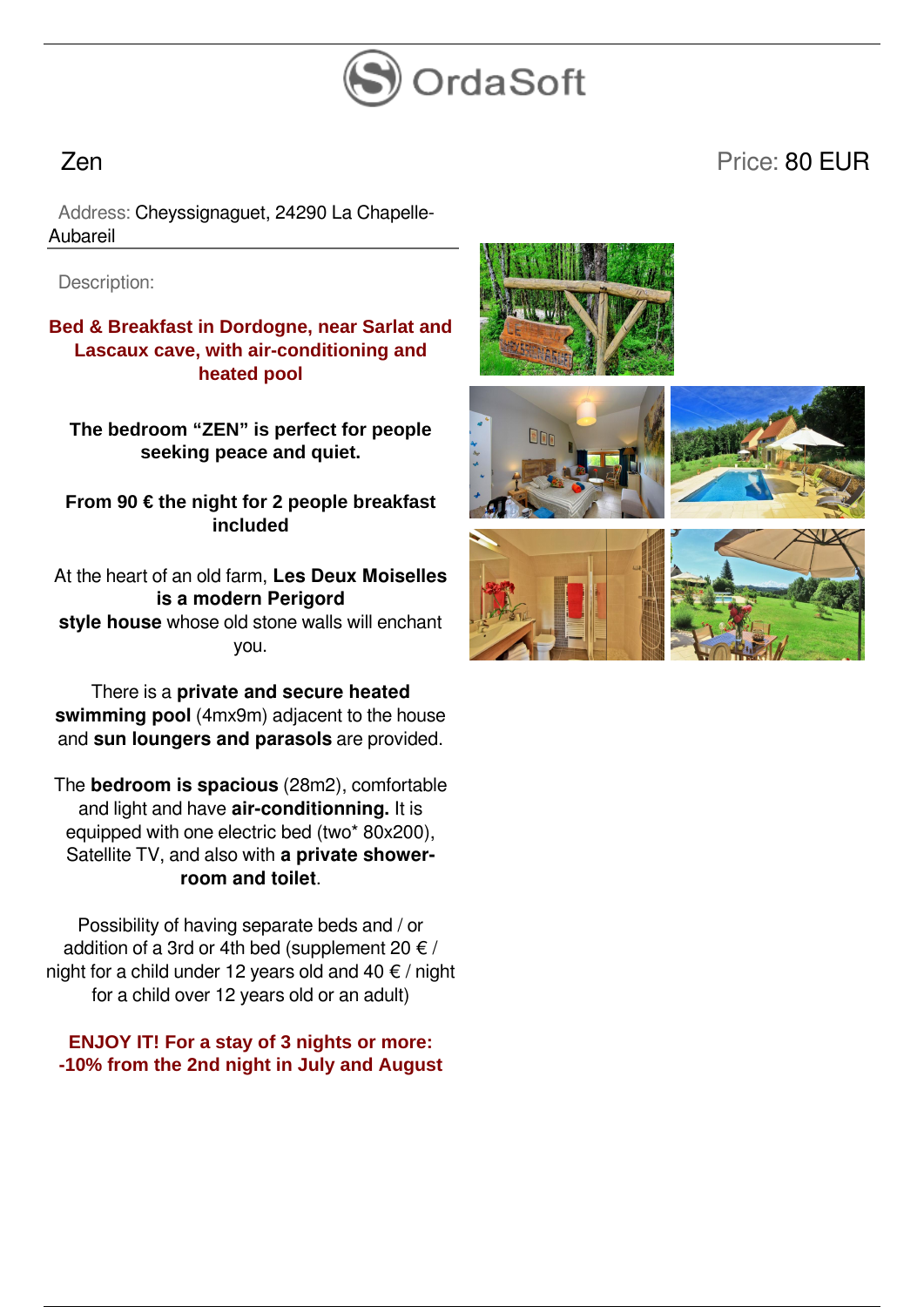

## Zen Price: 80 EUR

 Address: Cheyssignaguet, 24290 La Chapelle-Aubareil

Description:

**Bed & Breakfast in Dordogne, near Sarlat and Lascaux cave, with air-conditioning and heated pool**

**The bedroom "ZEN" is perfect for people seeking peace and quiet.**

**From 90 € the night for 2 people breakfast included**

At the heart of an old farm, **Les Deux Moiselles is a modern Perigord style house** whose old stone walls will enchant you.

There is a **private and secure heated swimming pool** (4mx9m) adjacent to the house and **sun loungers and parasols** are provided.

The **bedroom is spacious** (28m2), comfortable and light and have **air-conditionning.** It is equipped with one electric bed (two\* 80x200), Satellite TV, and also with **a private showerroom and toilet**.

Possibility of having separate beds and / or addition of a 3rd or 4th bed (supplement 20  $\notin$  / night for a child under 12 years old and 40  $\epsilon$  / night for a child over 12 years old or an adult)

**ENJOY IT! For a stay of 3 nights or more: -10% from the 2nd night in July and August**









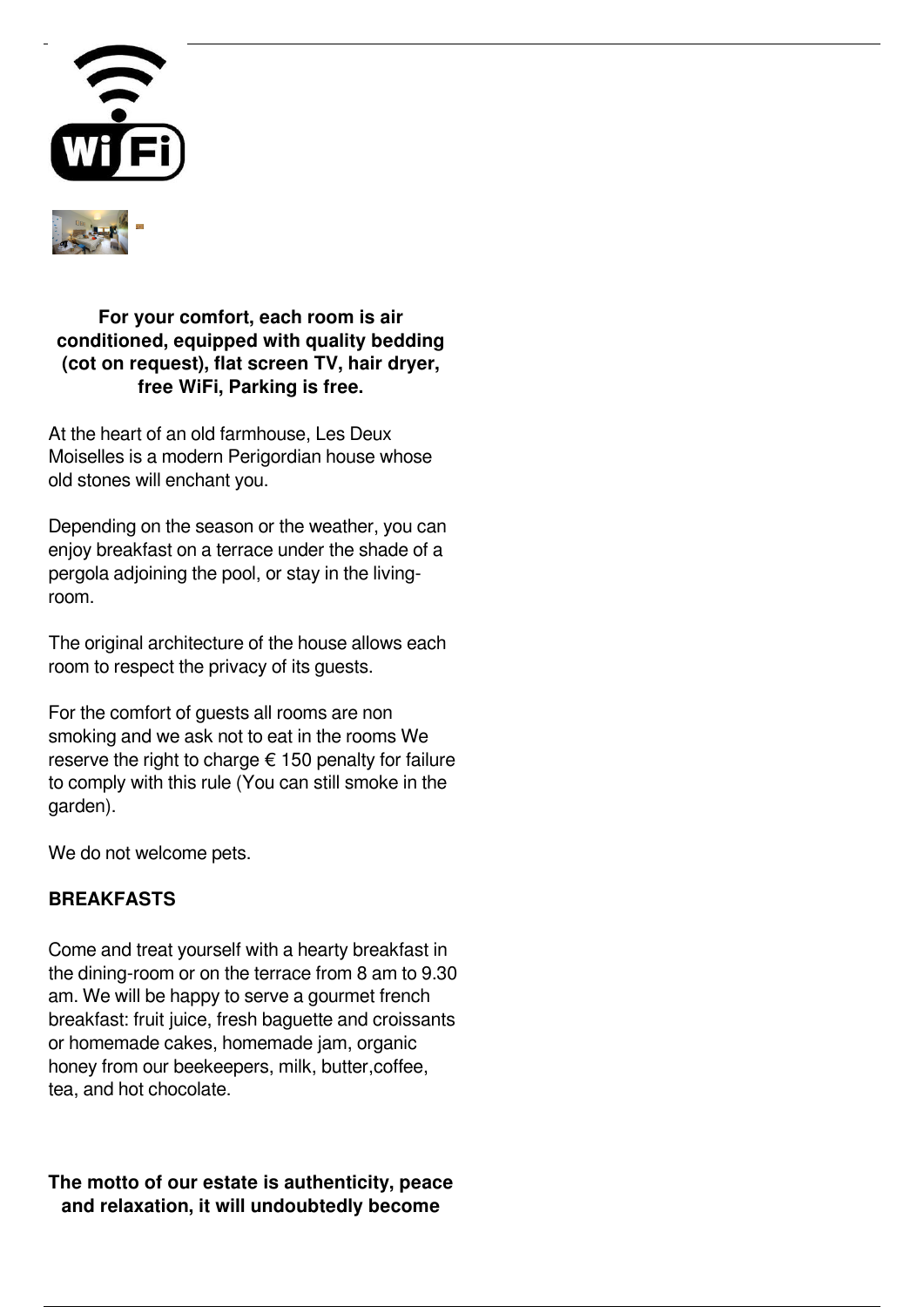



**For your comfort, each room is air conditioned, equipped with quality bedding (cot on request), flat screen TV, hair dryer, free WiFi, Parking is free.**

At the heart of an old farmhouse, Les Deux Moiselles is a modern Perigordian house whose old stones will enchant you.

Depending on the season or the weather, you can enjoy breakfast on a terrace under the shade of a pergola adjoining the pool, or stay in the livingroom.

The original architecture of the house allows each room to respect the privacy of its guests.

For the comfort of guests all rooms are non smoking and we ask not to eat in the rooms We reserve the right to charge  $\epsilon$  150 penalty for failure to comply with this rule (You can still smoke in the garden).

We do not welcome pets.

## **BREAKFASTS**

Come and treat yourself with a hearty breakfast in the dining-room or on the terrace from 8 am to 9.30 am. We will be happy to serve a gourmet french breakfast: fruit juice, fresh baguette and croissants or homemade cakes, homemade jam, organic honey from our beekeepers, milk, butter,coffee, tea, and hot chocolate.

**The motto of our estate is authenticity, peace and relaxation, it will undoubtedly become**